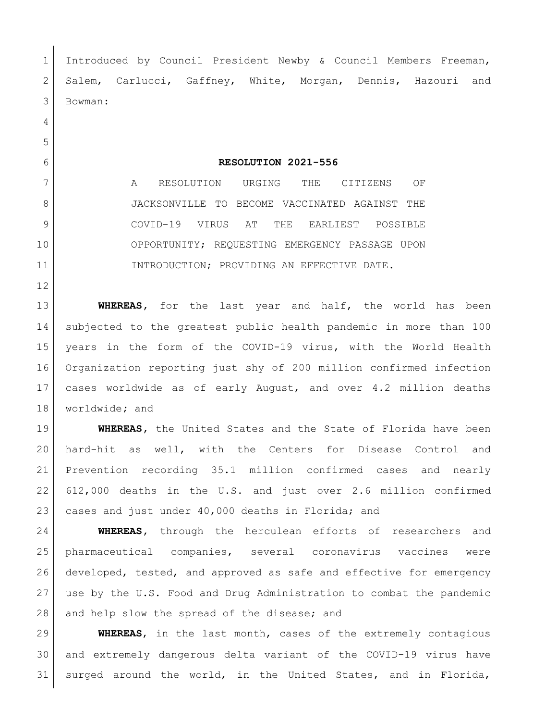1 Introduced by Council President Newby & Council Members Freeman, 2 Salem, Carlucci, Gaffney, White, Morgan, Dennis, Hazouri and Bowman:

## **RESOLUTION 2021-556**

 A RESOLUTION URGING THE CITIZENS OF JACKSONVILLE TO BECOME VACCINATED AGAINST THE COVID-19 VIRUS AT THE EARLIEST POSSIBLE OPPORTUNITY; REQUESTING EMERGENCY PASSAGE UPON 11 INTRODUCTION; PROVIDING AN EFFECTIVE DATE.

 **WHEREAS,** for the last year and half, the world has been subjected to the greatest public health pandemic in more than 100 years in the form of the COVID-19 virus, with the World Health Organization reporting just shy of 200 million confirmed infection cases worldwide as of early August, and over 4.2 million deaths worldwide**;** and

 **WHEREAS,** the United States and the State of Florida have been hard-hit as well, with the Centers for Disease Control and Prevention recording 35.1 million confirmed cases and nearly 612,000 deaths in the U.S. and just over 2.6 million confirmed cases and just under 40,000 deaths in Florida; and

 **WHEREAS,** through the herculean efforts of researchers and pharmaceutical companies, several coronavirus vaccines were developed, tested, and approved as safe and effective for emergency use by the U.S. Food and Drug Administration to combat the pandemic 28 and help slow the spread of the disease; and

 **WHEREAS**, in the last month, cases of the extremely contagious and extremely dangerous delta variant of the COVID-19 virus have surged around the world, in the United States, and in Florida,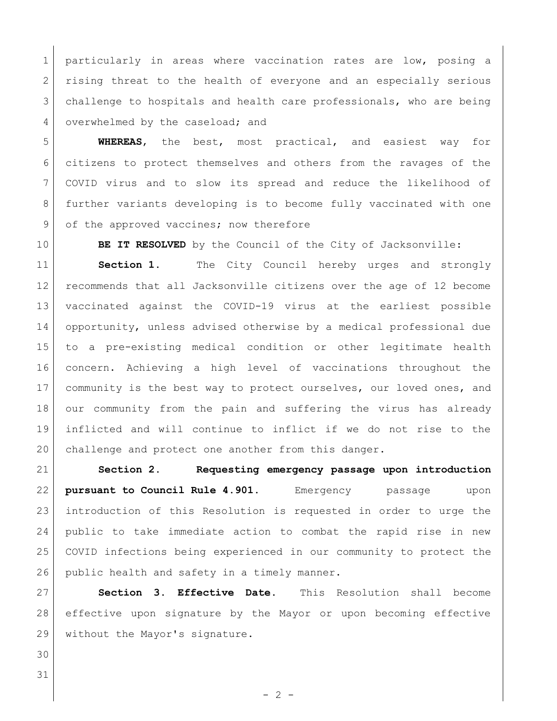1 particularly in areas where vaccination rates are low, posing a 2 rising threat to the health of everyone and an especially serious challenge to hospitals and health care professionals, who are being 4 overwhelmed by the caseload; and

 **WHEREAS**, the best, most practical, and easiest way for citizens to protect themselves and others from the ravages of the COVID virus and to slow its spread and reduce the likelihood of further variants developing is to become fully vaccinated with one 9 of the approved vaccines; now therefore

**BE IT RESOLVED** by the Council of the City of Jacksonville:

 **Section 1.** The City Council hereby urges and strongly recommends that all Jacksonville citizens over the age of 12 become vaccinated against the COVID-19 virus at the earliest possible opportunity, unless advised otherwise by a medical professional due to a pre-existing medical condition or other legitimate health concern. Achieving a high level of vaccinations throughout the 17 community is the best way to protect ourselves, our loved ones, and our community from the pain and suffering the virus has already inflicted and will continue to inflict if we do not rise to the challenge and protect one another from this danger.

 **Section 2. Requesting emergency passage upon introduction pursuant to Council Rule 4.901.** Emergency passage upon introduction of this Resolution is requested in order to urge the public to take immediate action to combat the rapid rise in new COVID infections being experienced in our community to protect the 26 public health and safety in a timely manner.

 **Section 3. Effective Date.** This Resolution shall become effective upon signature by the Mayor or upon becoming effective without the Mayor's signature.